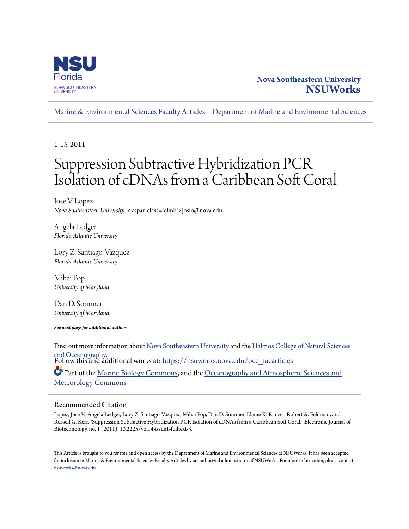

# **Nova Southeastern University [NSUWorks](https://nsuworks.nova.edu?utm_source=nsuworks.nova.edu%2Focc_facarticles%2F29&utm_medium=PDF&utm_campaign=PDFCoverPages)**

[Marine & Environmental Sciences Faculty Articles](https://nsuworks.nova.edu/occ_facarticles?utm_source=nsuworks.nova.edu%2Focc_facarticles%2F29&utm_medium=PDF&utm_campaign=PDFCoverPages) [Department of Marine and Environmental Sciences](https://nsuworks.nova.edu/cnso_mes?utm_source=nsuworks.nova.edu%2Focc_facarticles%2F29&utm_medium=PDF&utm_campaign=PDFCoverPages)

1-15-2011

# Suppression Subtractive Hybridization PCR Isolation of cDNAs from a Caribbean Soft Coral

Jose V. Lopez *Nova Southeastern University*, <<span class="elink">joslo@nova.edu

Angela Ledger *Florida Atlantic University*

Lory Z. Santiago-Vázquez *Florida Atlantic University*

Mihai Pop *University of Maryland*

Dan D. Sommer *University of Maryland*

*See next page for additional authors*

Find out more information about [Nova Southeastern University](http://www.nova.edu/) and the [Halmos College of Natural Sciences](https://cnso.nova.edu) [and Oceanography.](https://cnso.nova.edu) Follow this and additional works at: [https://nsuworks.nova.edu/occ\\_facarticles](https://nsuworks.nova.edu/occ_facarticles?utm_source=nsuworks.nova.edu%2Focc_facarticles%2F29&utm_medium=PDF&utm_campaign=PDFCoverPages) Part of the [Marine Biology Commons,](http://network.bepress.com/hgg/discipline/1126?utm_source=nsuworks.nova.edu%2Focc_facarticles%2F29&utm_medium=PDF&utm_campaign=PDFCoverPages) and the [Oceanography and Atmospheric Sciences and](http://network.bepress.com/hgg/discipline/186?utm_source=nsuworks.nova.edu%2Focc_facarticles%2F29&utm_medium=PDF&utm_campaign=PDFCoverPages) [Meteorology Commons](http://network.bepress.com/hgg/discipline/186?utm_source=nsuworks.nova.edu%2Focc_facarticles%2F29&utm_medium=PDF&utm_campaign=PDFCoverPages)

### Recommended Citation

Lopez, Jose V., Angela Ledger, Lory Z. Santiago-Vazquez, Mihai Pop, Dan D. Sommer, Llanie K. Ranzer, Robert A. Feldman, and Russell G. Kerr. "Suppression Subtractive Hybridization PCR Isolation of cDNAs from a Caribbean Soft Coral." Electronic Journal of Biotechnology. no. 1 (2011). 10.2225/vol14-issue1-fulltext-3.

This Article is brought to you for free and open access by the Department of Marine and Environmental Sciences at NSUWorks. It has been accepted for inclusion in Marine & Environmental Sciences Faculty Articles by an authorized administrator of NSUWorks. For more information, please contact [nsuworks@nova.edu.](mailto:nsuworks@nova.edu)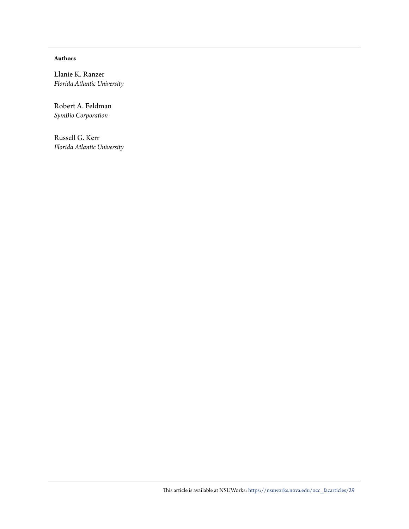#### **Authors**

Llanie K. Ranzer *Florida Atlantic University*

Robert A. Feldman *SymBio Corporation*

Russell G. Kerr *Florida Atlantic University*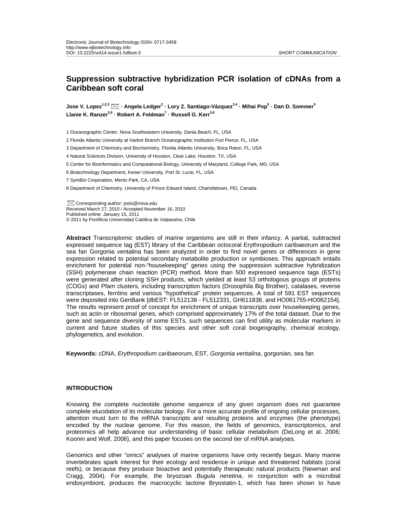## **Suppression subtractive hybridization PCR isolation of cDNAs from a Caribbean soft coral**

**Jose V. Lopez1,2,3 · Angela Ledger2 · Lory Z. Santiago-Vázquez3,4 · Mihai Pop5 · Dan D. Sommer<sup>5</sup> Llanie K. Ranzer3,6 · Robert A. Feldman7 · Russell G. Kerr3,8**

1 Oceanographic Center, Nova Southeastern University, Dania Beach, FL, USA

2 Florida Atlantic University at Harbor Branch Oceanographic Institution Fort Pierce, FL, USA

3 Department of Chemistry and Biochemistry, Florida Atlantic University, Boca Raton, FL, USA

4 Natural Sciences Division, University of Houston, Clear Lake, Houston, TX, USA

5 Center for Bioinformatics and Computational Biology, University of Maryland, College Park, MD, USA

6 Biotechnology Department, Keiser University, Port St. Lucie, FL, USA

7 SymBio Corporation, Menlo Park, CA, USA

8 Department of Chemistry, University of Prince Edward Island, Charlottetown, PEI, Canada

Corresponding author: joslo@nova.edu

Received March 27, 2010 / Accepted November 16, 2010

Published online: January 15, 2011 © 2011 by Pontificia Universidad Católica de Valparaíso, Chile

**Abstract** Transcriptomic studies of marine organisms are still in their infancy. A partial, subtracted expressed sequence tag (EST) library of the Caribbean octocoral Erythropodium caribaeorum and the sea fan Gorgonia ventalina has been analyzed in order to find novel genes or differences in gene expression related to potential secondary metabolite production or symbioses. This approach entails enrichment for potential non-"housekeeping" genes using the suppression subtractive hybridization (SSH) polymerase chain reaction (PCR) method. More than 500 expressed sequence tags (ESTs) were generated after cloning SSH products, which yielded at least 53 orthologous groups of proteins (COGs) and Pfam clusters, including transcription factors (Drosophila Big Brother), catalases, reverse transcriptases, ferritins and various "hypothetical" protein sequences. A total of 591 EST sequences were deposited into GenBank [dbEST: FL512138 - FL512331, GH611838, and HO061755-HO062154]. The results represent proof of concept for enrichment of unique transcripts over housekeeping genes, such as actin or ribosomal genes, which comprised approximately 17% of the total dataset. Due to the gene and sequence diversity of some ESTs, such sequences can find utility as molecular markers in current and future studies of this species and other soft coral biogeography, chemical ecology, phylogenetics, and evolution.

**Keywords:** cDNA, *Erythropodium caribaeorum*, EST, *Gorgonia ventalina*, gorgonian, sea fan

#### **INTRODUCTION**

Knowing the complete nucleotide genome sequence of any given organism does not guarantee complete elucidation of its molecular biology. For a more accurate profile of ongoing cellular processes, attention must turn to the mRNA transcripts and resulting proteins and enzymes (the phenotype) encoded by the nuclear genome. For this reason, the fields of genomics, transcriptomics, and proteomics all help advance our understanding of basic cellular metabolism (DeLong et al. 2006; Koonin and Wolf, 2006), and this paper focuses on the second tier of mRNA analyses.

Genomics and other "omics" analyses of marine organisms have only recently begun. Many marine invertebrates spark interest for their ecology and residence in unique and threatened habitats (coral reefs), or because they produce bioactive and potentially therapeutic natural products (Newman and Cragg, 2004). For example, the bryozoan *Bugula neretina*, in conjunction with a microbial endosymbiont, produces the macrocyclic lactone Bryostatin-1, which has been shown to have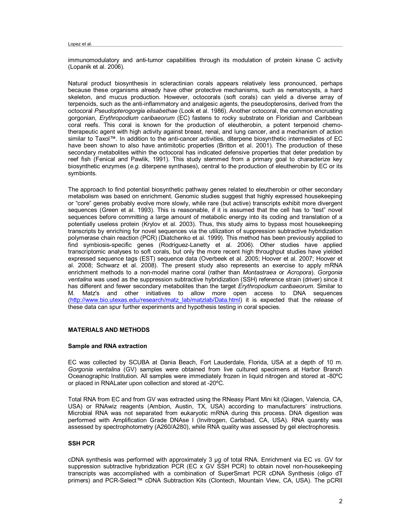Lopez et al.

immunomodulatory and anti-tumor capabilities through its modulation of protein kinase C activity (Lopanik et al. 2006).

Natural product biosynthesis in scleractinian corals appears relatively less pronounced, perhaps because these organisms already have other protective mechanisms, such as nematocysts, a hard skeleton, and mucus production. However, octocorals (soft corals) can yield a diverse array of terpenoids, such as the anti-inflammatory and analgesic agents, the pseudopterosins, derived from the octocoral *Pseudopterogorgia elisabethae* (Look et al. 1986). Another octocoral, the common encrusting gorgonian, *Erythropodium caribaeorum* (EC) fastens to rocky substrate on Floridian and Caribbean coral reefs. This coral is known for the production of eleutherobin, a potent terpenoid chemotherapeutic agent with high activity against breast, renal, and lung cancer, and a mechanism of action similar to Taxol™. In addition to the anti-cancer activities, diterpene biosynthetic intermediates of EC have been shown to also have antimitotic properties (Britton et al. 2001). The production of these secondary metabolites within the octocoral has indicated defensive properties that deter predation by reef fish (Fenical and Pawlik, 1991). This study stemmed from a primary goal to characterize key biosynthetic enzymes (*e.g*. diterpene synthases), central to the production of eleutherobin by EC or its symbionts.

The approach to find potential biosynthetic pathway genes related to eleutherobin or other secondary metabolism was based on enrichment. Genomic studies suggest that highly expressed housekeeping or "core" genes probably evolve more slowly, while rare (but active) transcripts exhibit more divergent sequences (Green et al. 1993). This is reasonable, if it is assumed that the cell has to "test" novel sequences before committing a large amount of metabolic energy into its coding and translation of a potentially useless protein (Krylov et al. 2003). Thus, this study aims to bypass most housekeeping transcripts by enriching for novel sequences via the utilization of suppression subtractive hybridization polymerase chain reaction (PCR) (Diatchenko et al. 1999). This method has been previously applied to find symbiosis-specific genes (Rodriguez-Lanetty et al. 2006). Other studies have applied transcriptomic analyses to soft corals, but only the more recent high throughput studies have yielded expressed sequence tags (EST) sequence data (Overbeek et al. 2005; Hoover et al. 2007; Hoover et al. 2008; Schwarz et al. 2008). The present study also represents an exercise to apply mRNA enrichment methods to a non-model marine coral (rather than *Montastraea* or *Acropora*). *Gorgonia ventalina* was used as the suppression subtractive hybridization (SSH) reference strain (driver) since it has different and fewer secondary metabolites than the target *Erythropodium caribaeorum*. Similar to M. Matz's and other initiatives to allow more open access to DNA sequences [\(http://www.bio.utexas.edu/research/matz\\_lab/matzlab/Data.html\)](http://www.bio.utexas.edu/research/matz_lab/matzlab/Data.html) it is expected that the release of these data can spur further experiments and hypothesis testing in coral species.

#### **MATERIALS AND METHODS**

#### **Sample and RNA extraction**

EC was collected by SCUBA at Dania Beach, Fort Lauderdale, Florida, USA at a depth of 10 m. *Gorgonia ventalina* (GV) samples were obtained from live cultured specimens at Harbor Branch Oceanographic Institution. All samples were immediately frozen in liquid nitrogen and stored at -80ºC or placed in RNALater upon collection and stored at -20ºC.

Total RNA from EC and from GV was extracted using the RNeasy Plant Mini kit (Qiagen, Valencia, CA, USA) or RNAwiz reagents (Ambion, Austin, TX, USA) according to manufacturers' instructions. Microbial RNA was not separated from eukaryotic mRNA during this process. DNA digestion was performed with Amplification Grade DNAse I (Invitrogen, Carlsbad, CA, USA). RNA quantity was assessed by spectrophotometry (A260/A280), while RNA quality was assessed by gel electrophoresis.

#### **SSH PCR**

cDNA synthesis was performed with approximately 3 µg of total RNA. Enrichment via EC *vs*. GV for suppression subtractive hybridization PCR (EC x GV SSH PCR) to obtain novel non-housekeeping transcripts was accomplished with a combination of SuperSmart PCR cDNA Synthesis (oligo dT primers) and PCR-Select™ cDNA Subtraction Kits (Clontech, Mountain View, CA, USA). The pCRII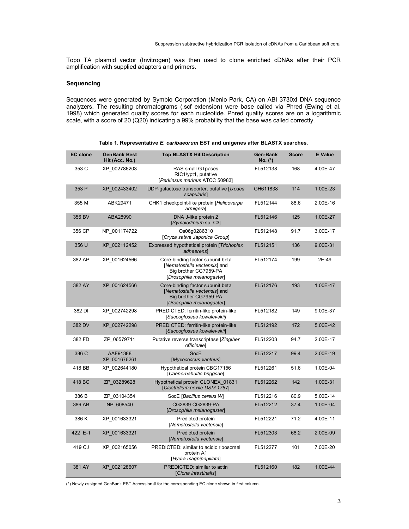Topo TA plasmid vector (Invitrogen) was then used to clone enriched cDNAs after their PCR amplification with supplied adapters and primers.

#### **Sequencing**

Sequences were generated by Symbio Corporation (Menlo Park, CA) on ABI 3730xl DNA sequence analyzers. The resulting chromatograms (.scf extension) were base called via Phred (Ewing et al. 1998) which generated quality scores for each nucleotide. Phred quality scores are on a logarithmic scale, with a score of 20 (Q20) indicating a 99% probability that the base was called correctly.

| <b>EC</b> clone | <b>GenBank Best</b><br>Hit (Acc. No.) | <b>Top BLASTX Hit Description</b>                                                                                      | Gen-Bank<br>No. (*) | <b>Score</b> | <b>E</b> Value |
|-----------------|---------------------------------------|------------------------------------------------------------------------------------------------------------------------|---------------------|--------------|----------------|
| 353 C           | XP 002786203                          | RAS small GTpases<br>RIC1/ypt1, putative<br>[Perkinsus marinus ATCC 50983]                                             | FL512138            | 168          | 4.00E-47       |
| 353 P           | XP 002433402                          | UDP-galactose transporter, putative [/xodes<br><i>scapularis</i> ]                                                     | GH611838            | 114          | 1.00E-23       |
| 355 M           | ABK29471                              | CHK1 checkpoint-like protein [Helicoverpa<br>armigera]                                                                 | FL512144            | 88.6         | 2.00E-16       |
| 356 BV          | ABA28990                              | DNA J-like protein 2<br>[Symbiodinium sp. C3]                                                                          | FL512146            | 125          | 1.00E-27       |
| 356 CP          | NP 001174722                          | Os06g0286310<br>[Oryza sativa Japonica Group]                                                                          | FL512148            | 91.7         | 3.00E-17       |
| 356 U           | XP_002112452                          | Expressed hypothetical protein [Trichoplax<br>adhaerens]                                                               | FL512151            | 136          | 9.00E-31       |
| 382 AP          | XP 001624566                          | Core-binding factor subunit beta<br>[Nematostella vectensis] and<br>Big brother CG7959-PA<br>[Drosophila melanogaster] | FL512174            | 199          | 2E-49          |
| 382 AY          | XP 001624566                          | Core-binding factor subunit beta<br>[Nematostella vectensis] and<br>Big brother CG7959-PA<br>[Drosophila melanogaster] | FL512176            | 193          | 1.00E-47       |
| 382 DI          | XP 002742298                          | PREDICTED: ferritin-like protein-like<br>[Saccoglossus kowalevskii]                                                    | FL512182            | 149          | 9.00E-37       |
| 382 DV          | XP 002742298                          | PREDICTED: ferritin-like protein-like<br>[Saccoglossus kowalevskii]                                                    | FL512192            | 172          | 5.00E-42       |
| 382 FD          | ZP 06579711                           | Putative reverse transcriptase [Zingiber<br>officinalel                                                                | FL512203            | 94.7         | 2.00E-17       |
| 386 C           | AAF91388<br>XP 001676261              | SocE<br>[Myxococcus xanthus]                                                                                           | FL512217            | 99.4         | 2.00E-19       |
| 418 BB          | XP 002644180                          | Hypothetical protein CBG17156<br>[Caenorhabditis briggsae]                                                             | FL512261            | 51.6         | 1.00E-04       |
| 418 BC          | ZP 03289628                           | Hypothetical protein CLONEX 01831<br>[Clostridium nexile DSM 1787]                                                     | FL512262            | 142          | 1.00E-31       |
| 386 B           | ZP 03104354                           | SocE [Bacillus cereus W]                                                                                               | FL512216            | 80.9         | 5.00E-14       |
| 386 AB          | NP 608540                             | CG2839 CG2839-PA<br>[Drosophila melanogaster]                                                                          | FL512212            | 37.4         | 1.00E-04       |
| 386 K           | XP 001633321                          | Predicted protein<br>[Nematostella vectensis]                                                                          | FL512221            | 71.2         | 4.00E-11       |
| 422 E-1         | XP 001633321                          | Predicted protein<br>[Nematostella vectensis]                                                                          | FL512303            | 68.2         | 2.00E-09       |
| 419 CJ          | XP 002165056                          | PREDICTED: similar to acidic ribosomal<br>protein A1<br>[Hydra magnipapillata]                                         | FL512277            | 101          | 7.00E-20       |
| 381 AY          | XP 002128607                          | PREDICTED: similar to actin<br>[Ciona intestinalis]                                                                    | FL512160            | 182          | 1.00E-44       |

**Table 1. Representative** *E. caribaeorum* **EST and unigenes after BLASTX searches.**

(\*) Newly assigned GenBank EST Accession # for the corresponding EC clone shown in first column.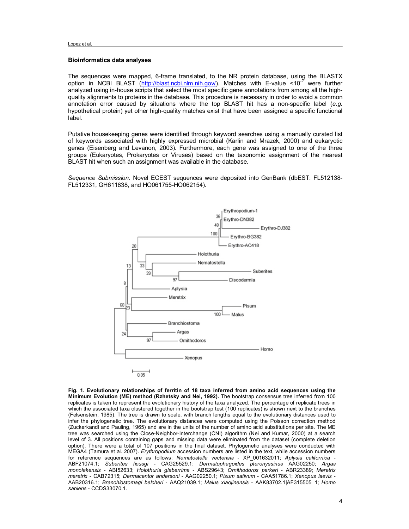Lopez et al.

#### **Bioinformatics data analyses**

The sequences were mapped, 6-frame translated, to the NR protein database, using the BLASTX option in NCBI BLAST [\(http://blast.ncbi.nlm.nih.gov/\)](http://blast.ncbi.nlm.nih.gov/). Matches with E-value <10<sup>-2</sup> were further analyzed using in-house scripts that select the most specific gene annotations from among all the highquality alignments to proteins in the database. This procedure is necessary in order to avoid a common annotation error caused by situations where the top BLAST hit has a non-specific label (*e.g*. hypothetical protein) yet other high-quality matches exist that have been assigned a specific functional label.

Putative housekeeping genes were identified through keyword searches using a manually curated list of keywords associated with highly expressed microbial (Karlin and Mrazek, 2000) and eukaryotic genes (Eisenberg and Levanon, 2003). Furthermore, each gene was assigned to one of the three groups (Eukaryotes, Prokaryotes or Viruses) based on the taxonomic assignment of the nearest BLAST hit when such an assignment was available in the database.

*Sequence Submission*. Novel ECEST sequences were deposited into GenBank (dbEST: FL512138- FL512331, GH611838, and HO061755-HO062154).



**Fig. 1. Evolutionary relationships of ferritin of 18 taxa inferred from amino acid sequences using the Minimum Evolution (ME) method (Rzhetsky and Nei, 1992).** The bootstrap consensus tree inferred from 100 replicates is taken to represent the evolutionary history of the taxa analyzed. The percentage of replicate trees in which the associated taxa clustered together in the bootstrap test (100 replicates) is shown next to the branches (Felsenstein, 1985). The tree is drawn to scale, with branch lengths equal to the evolutionary distances used to infer the phylogenetic tree. The evolutionary distances were computed using the Poisson correction method (Zuckerkandl and Pauling, 1965) and are in the units of the number of amino acid substitutions per site. The ME tree was searched using the Close-Neighbor-Interchange (CNI) algorithm (Nei and Kumar, 2000) at a search level of 3. All positions containing gaps and missing data were eliminated from the dataset (complete deletion option). There were a total of 107 positions in the final dataset. Phylogenetic analyses were conducted with MEGA4 (Tamura et al. 2007). *Erythropodium* accession numbers are listed in the text, while accession numbers for reference sequences are as follows: *Nematostella vectensis* - XP\_001632011; *Aplysia californica* - ABF21074.1; *Suberites ficusgi* - CAG25529.1; *Dermatophagoides pteronyssinus* AAG02250; *Argas monolakensis* - ABI52633; *Holothuria glaberrima* - ABS29643; *Ornithodoros parkeri* - ABR23389; *Meretrix meretrix* - CAB72315; *Dermacentor andersoni -* AAG02250.1; *Pisum sativum* - CAA51786.1; *Xenopus laevis* - AAB20316.1; *Branchiostomagi belcheri* - AAQ21039.1; *Malus xiaojinensis* - AAK83702.1|AF315505\_1; *Homo sapiens* - CCDS33070.1.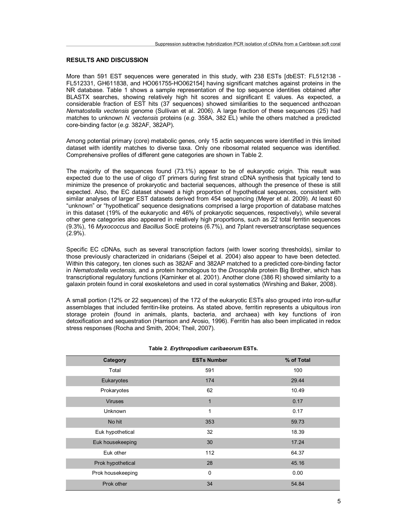#### **RESULTS AND DISCUSSION**

More than 591 EST sequences were generated in this study, with 238 ESTs [dbEST: FL512138 -FL512331, GH611838, and HO061755-HO062154] having significant matches against proteins in the NR database. Table 1 shows a sample representation of the top sequence identities obtained after BLASTX searches, showing relatively high hit scores and significant E values. As expected, a considerable fraction of EST hits (37 sequences) showed similarities to the sequenced anthozoan *Nematostella vectensis* genome (Sullivan et al. 2006). A large fraction of these sequences (25) had matches to unknown *N. vectensis* proteins (*e.g*. 358A, 382 EL) while the others matched a predicted core-binding factor (*e.g.* 382AF, 382AP).

Among potential primary (core) metabolic genes, only 15 actin sequences were identified in this limited dataset with identity matches to diverse taxa. Only one ribosomal related sequence was identified. Comprehensive profiles of different gene categories are shown in Table 2.

The majority of the sequences found (73.1%) appear to be of eukaryotic origin. This result was expected due to the use of oligo dT primers during first strand cDNA synthesis that typically tend to minimize the presence of prokaryotic and bacterial sequences, although the presence of these is still expected. Also, the EC dataset showed a high proportion of hypothetical sequences, consistent with similar analyses of larger EST datasets derived from 454 sequencing (Meyer et al. 2009). At least 60 "unknown" or "hypothetical" sequence designations comprised a large proportion of database matches in this dataset (19% of the eukaryotic and 46% of prokaryotic sequences, respectively), while several other gene categories also appeared in relatively high proportions, such as 22 total ferritin sequences (9.3%), 16 *Myxococcus* and *Bacillus* SocE proteins (6.7%), and 7plant reversetranscriptase sequences (2.9%).

Specific EC cDNAs, such as several transcription factors (with lower scoring thresholds), similar to those previously characterized in cnidarians (Seipel et al. 2004) also appear to have been detected. Within this category, ten clones such as 382AF and 382AP matched to a predicted core-binding factor in *Nematostella vectensis*, and a protein homologous to the *Drosophila* protein Big Brother, which has transcriptional regulatory functions (Kaminker et al. 2001). Another clone (386 R) showed similarity to a galaxin protein found in coral exoskeletons and used in coral systematics (Wirshing and Baker, 2008).

A small portion (12% or 22 sequences) of the 172 of the eukaryotic ESTs also grouped into iron-sulfur assemblages that included ferritin-like proteins. As stated above, ferritin represents a ubiquitous iron storage protein (found in animals, plants, bacteria, and archaea) with key functions of iron detoxification and sequestration (Harrison and Arosio, 1996). Ferritin has also been implicated in redox stress responses (Rocha and Smith, 2004; Theil, 2007).

|                   | <b>ESTs Number</b> | % of Total |
|-------------------|--------------------|------------|
| Category          |                    |            |
| Total             | 591                | 100        |
| Eukaryotes        | 174                | 29.44      |
| Prokaryotes       | 62                 | 10.49      |
| <b>Viruses</b>    | $\overline{1}$     | 0.17       |
| <b>Unknown</b>    | 1                  | 0.17       |
| No hit            | 353                | 59.73      |
| Euk hypothetical  | 32                 | 18.39      |
| Euk housekeeping  | 30                 | 17.24      |
| Euk other         | 112                | 64.37      |
| Prok hypothetical | 28                 | 45.16      |
| Prok housekeeping | $\mathbf 0$        | 0.00       |
| Prok other        | 34                 | 54.84      |

**Table 2**. *Erythropodium caribaeorum* **ESTs.**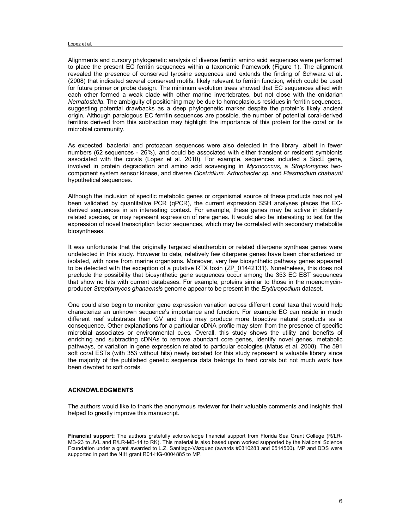Lopez et al.

Alignments and cursory phylogenetic analysis of diverse ferritin amino acid sequences were performed to place the present EC ferritin sequences within a taxonomic framework (Figure 1). The alignment revealed the presence of conserved tyrosine sequences and extends the finding of Schwarz et al. (2008) that indicated several conserved motifs, likely relevant to ferritin function, which could be used for future primer or probe design. The minimum evolution trees showed that EC sequences allied with each other formed a weak clade with other marine invertebrates, but not close with the cnidarian *Nematostella*. The ambiguity of positioning may be due to homoplasious residues in ferritin sequences, suggesting potential drawbacks as a deep phylogenetic marker despite the protein's likely ancient origin. Although paralogous EC ferritin sequences are possible, the number of potential coral-derived ferritins derived from this subtraction may highlight the importance of this protein for the coral or its microbial community.

As expected, bacterial and protozoan sequences were also detected in the library, albeit in fewer numbers (62 sequences - 26%), and could be associated with either transient or resident symbionts associated with the corals (Lopez et al. 2010). For example, sequences included a SocE gene, involved in protein degradation and amino acid scavenging in *Myxococcus*, a *Streptomyces* twocomponent system sensor kinase, and diverse *Clostridium, Arthrobacter sp.* and *Plasmodium chabaudi* hypothetical sequences.

Although the inclusion of specific metabolic genes or organismal source of these products has not yet been validated by quantitative PCR (qPCR), the current expression SSH analyses places the ECderived sequences in an interesting context. For example, these genes may be active in distantly related species, or may represent expression of rare genes. It would also be interesting to test for the expression of novel transcription factor sequences, which may be correlated with secondary metabolite biosyntheses.

It was unfortunate that the originally targeted eleutherobin or related diterpene synthase genes were undetected in this study. However to date, relatively few diterpene genes have been characterized or isolated, with none from marine organisms. Moreover, very few biosynthetic pathway genes appeared to be detected with the exception of a putative RTX toxin (ZP\_01442131). Nonetheless, this does not preclude the possibility that biosynthetic gene sequences occur among the 353 EC EST sequences that show no hits with current databases. For example, proteins similar to those in the moenomycinproducer *Streptomyces ghanaensis* genome appear to be present in the *Erythropodium* dataset.

One could also begin to monitor gene expression variation across different coral taxa that would help characterize an unknown sequence's importance and function**.** For example EC can reside in much different reef substrates than GV and thus may produce more bioactive natural products as a consequence. Other explanations for a particular cDNA profile may stem from the presence of specific microbial associates or environmental cues. Overall, this study shows the utility and benefits of enriching and subtracting cDNAs to remove abundant core genes, identify novel genes, metabolic pathways, or variation in gene expression related to particular ecologies (Matus et al. 2008). The 591 soft coral ESTs (with 353 without hits) newly isolated for this study represent a valuable library since the majority of the published genetic sequence data belongs to hard corals but not much work has been devoted to soft corals.

#### **ACKNOWLEDGMENTS**

The authors would like to thank the anonymous reviewer for their valuable comments and insights that helped to greatly improve this manuscript.

**Financial support:** The authors gratefully acknowledge financial support from Florida Sea Grant College (R/LR-MB-23 to JVL and R/LR-MB-14 to RK). This material is also based upon worked supported by the National Science Foundation under a grant awarded to L.Z. Santiago-Vázquez (awards #0310283 and 0514500). MP and DDS were supported in part the NIH grant R01-HG-0004885 to MP.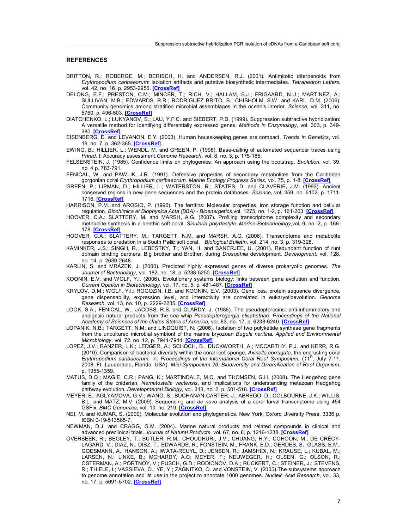#### **REFERENCES**

- BRITTON, R.; ROBERGE, M.; BERISCH, H. and ANDERSEN, R.J. (2001). Antimitotic diterpenoids from *Erythropodium caribaeorum*: Isolation artifacts and putative biosynthetic intermediates. *Tetrahedron Letters*, vol. 42, no. 16, p. 2953-2956. **[\[CrossRef\]](http://dx.doi.org/10.1016/S0040-4039(01)00347-1)**
- DELONG, E.F.; PRESTON, C.M.; MINCER, T.; RICH, V.; HALLAM, S.J.; FRIGAARD, N.U.; MARTINEZ, A.; SULLIVAN, M.B.; EDWARDS, R.R.; RODRIGUEZ BRITO, B.; CHISHOLM, S.W. and KARL, D.M. (2006). Community genomics among stratified microbial assemblages in the ocean's interior. *Science*, vol. 311, no. 5760, p. 496-503. **[\[CrossRef\]](http://dx.doi.org/10.1126/science.1120250)**
- DIATCHENKO, L.; LUKYANOV, S.; LAU, Y.F.C. and SIEBERT, P.D. (1999). Suppression subtractive hybridization: A versatile method for identifying differentially expressed genes. *Methods in Enzymology*, vol. 303, p. 349- 380. **[\[CrossRef\]](http://dx.doi.org/10.1016/S0076-6879(99)03022-0)**
- EISENBERG, E. and LEVANON, E.Y. (2003). Human housekeeping genes are compact. *Trends in Genetics*, vol. 19, no. 7, p. 362-365. **[\[CrossRef\]](http://dx.doi.org/10.1016/S0168-9525(03)00140-9)**
- EWING, B.; HILLIER, L.; WENDL, M. and GREEN, P. (1998). Base-calling of automated sequencer traces using *Phred*. I: Accuracy assessment.*Genome Research*, vol. 8, no. 3, p. 175-185.
- FELSENSTEIN, J. (1985). Confidence limits on phylogenies: An approach using the bootstrap*. Evolution*, vol. 39, no. 4 p. 783-791.
- FENICAL, W. and PAWLIK, J.R. (1991). Defensive properties of secondary metabolites from the Caribbean gorgonian coral *Erythropodium caribaeorum. Marine Ecology Progress Series*, vol. 75, p. 1-8. **[\[CrossRef\]](http://dx.doi.org/10.3354/meps075001)**
- GREEN, P.; LIPMAN, D.; HILLIER, L.; WATERSTON, R.; STATES, D. and CLAVERIE, J.M. (1993). Ancient conserved regions in new gene sequences and the protein databases. *Science*, vol. 259, no. 5102, p. 1711- 1716. **[\[CrossRef\]](http://dx.doi.org/10.1126/science.8456298)**
- HARRISON, P.M. and AROSIO, P. (1996). The ferritins: Molecular properties, iron storage function and cellular regulation. *Biochimica et Biophysica Acta (BBA) - Bioenergetics*,vol. 1275, no. 1-2, p. 161-203. **[\[CrossRef\]](http://dx.doi.org/10.1016/0005-2728(96)00022-9)**
- HOOVER, C.A.; SLATTERY, M. and MARSH, A.G. (2007). Profiling transcriptome complexity and secondary metabolite synthesis in a benthic soft coral, *Sinularia polydactyla*. *Marine Biotechnology*,vol. 9**,** no. 2, p. 166- 178. **[\[CrossRef\]](http://dx.doi.org/10.1007/s10126-006-6048-y)**
- HOOVER, C.A.; SLATTERY, M.; TARGETT, N.M. and MARSH, A.G. (2008). Transcriptome and metabolite responses to predation in a South Padic soft coral. *Biological Bulletin*, vol. 214, no. 3, p. 319-328.
- KAMINKER, J.S.; SINGH, R.; LEBESTKY, T.; YAN, H. and BANERJEE, U. (2001). Redundant function of runt domain binding partners, Big brother and Brother, during *Drosophila* development. *Development,* vol. 128, no. 14, p. 2639-2648.
- KARLIN, S. and MRÁZEK, J. (2000). Predicted highly expressed genes of diverse prokaryotic genomes. *The Journal of Bacteriology*, vol. 182, no. 18, p. 5238-5250. **[\[CrossRef\]](http://dx.doi.org/10.1128/JB.182.18.5238-5250.2000)**
- KOONIN, E.V. and WOLF, Y.I. (2006). Evolutionary systems biology: links between gene evolution and function. *Current Opinion in Biotechnology*, vol. 17, no. 5, p. 481-487. **[\[CrossRef\]](http://dx.doi.org/10.1016/j.copbio.2006.08.003)**
- KRYLOV, D.M.; WOLF, Y.I.; ROGOZIN, I.B. and KOONIN, E.V. (2003). Gene loss, protein sequence divergence, gene dispensability, expression level, and interactivity are correlated in eukaryoticevolution. *Genome Research*, vol. 13, no. 10, p. 2229-2235. **[\[CrossRef\]](http://dx.doi.org/10.1101/gr.1589103)**
- LOOK, S.A.; FENICAL, W.; JACOBS, R.S. and CLARDY, J. (1986). The pseudopterosins: anti-inflammatory and analgesic natural products from the sea whip *Pseudopterogorgia elisabethae. Proceedings of the National Academy of Sciences of the Unites States of America*, vol. 83, no. 17, p. 6238-6240. **[\[CrossRef\]](http://dx.doi.org/10.1073/pnas.83.17.6238)**
- LOPANIK, N.B.; TARGETT, N.M. and LINDQUIST, N. (2006). Isolation of two polyketide synthase gene fragments from the uncultured microbial symbiont of the marine bryozoan *Bugula neritina. Applied and Environmental Microbiology*, vol. 72, no. 12, p. 7941-7944. **[\[CrossRef\]](http://dx.doi.org/10.1128/AEM.01277-06)**
- LOPEZ, J.V.; RANZER, L.K.; LEDGER, A.; SCHOCH, B., DUCKWORTH, A.; MCCARTHY, P.J. and KERR, R.G. (2010). Comparison of bacterial diversity within the coral reef sponge, *Axinella corrugata*, the encrusting coral *Erythropodium caribaeorum*. In: *Proceedings of the International Coral Reef Symposium,* (*11th*, July 7-11, 2008, Ft. Lauderdale, Florida, USA). *Mini-Symposium 26: Biodiversity and Diversification of Reef Organism.* p. 1355-1359.
- MATUS, D.Q.; MAGIE, C.R.; PANG, K.; MARTINDALE, M.Q. and THOMSEN, G.H. (2008). The Hedgehog gene family of the cnidarian, *Nematostella vectensis*, and implications for understanding metazoan Hedgehog pathway evolution. *Developmental Biology*, vol. 313, no. 2, p. 501-518. **[\[CrossRef\]](http://dx.doi.org/10.1016/j.ydbio.2007.09.032)**
- MEYER, E.; AGLYAMOVA, G.V.; WANG, S.; BUCHANAN-CARTER, J.; ABREGO, D.; COLBOURNE, J.K.; WILLIS, B.L. and MATZ, M.V. (2009). Sequencing and *de novo* analysis of a coral larval transcriptome using 454 GSFlx. *BMC Genomics*, vol. 10, no. 219. **[\[CrossRef\]](http://dx.doi.org/10.1186/1471-2164-10-219)**
- NEI, M. and KUMAR, S. (2000). Molecular evolution and phylogenetics. New York, Oxford Uiversity Press. 3336 p. ISBN 0-19-513585-7.
- NEWMAN, D.J. and CRAGG, G.M. (2004). Marine natural products and related compounds in clinical and advanced preclinical trials. *Journal of Natural Products*, vol. 67, no. 8, p. 1216-1238. **[\[CrossRef\]](http://dx.doi.org/10.1021/np040031y)**
- OVERBEEK, R.; BEGLEY, T.; BUTLER, R.M.; CHOUDHURI, J.V.; CHUANG, H.Y.; COHOON, M.; DE CRÉCY-LAGARD, V.; DIAZ, N.; DISZ, T.; EDWARDS, R.; FONSTEIN, M.; FRANK, E.D.; GERDES, S.; GLASS, E.M.; GOESMANN, A.; HANSON, A.; IWATA-REUYL, D.; JENSEN, R.; JAMSHIDI, N.; KRAUSE, L.; KUBAL, M.; LARSEN, N.; LINKE, B.; MCHARDY, A.C; MEYER, F.; NEUWEGER, H.; OLSEN, G.; OLSON, R.; OSTERMAN, A.; PORTNOY, V.; PUSCH, G.D.; RODIONOV, D.A.; RÜCKERT, C.; STEINER, J.; STEVENS, R.; THIELE, I.; VASSIEVA, O.; YE, Y.; ZAGNITKO, O. and VONSTEIN, V. (2005).The subsystems approach to genome annotation and its use in the project to annotate 1000 genomes. *Nucleic Acid Research*, vol. 33, no. 17, p. 5691-5702. **[\[CrossRef\]](http://dx.doi.org/10.1093/nar/gki866)**